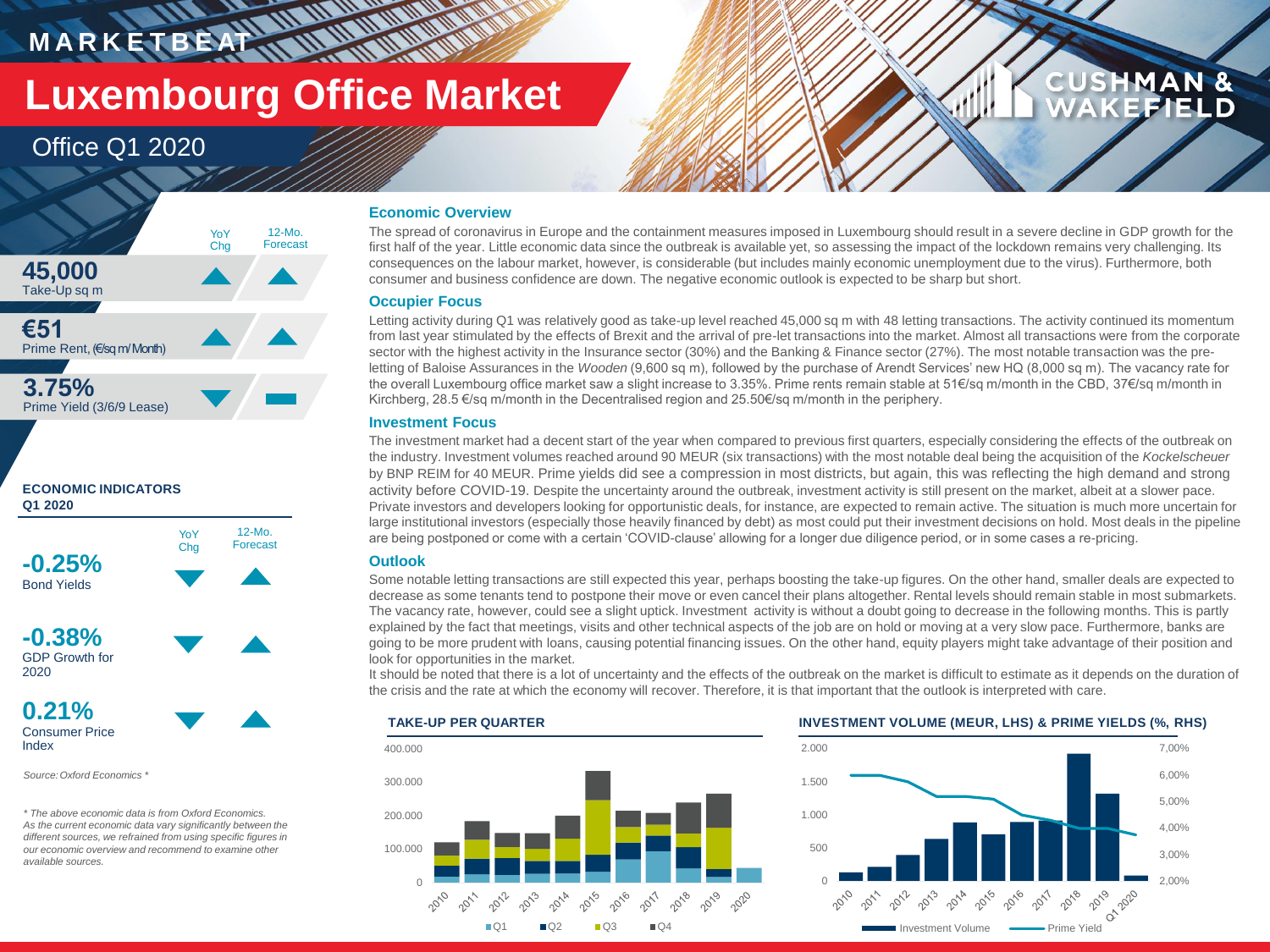# **MARKETBEAT IN WATERWAY Luxembourg Office Market**

### Office Q1 2020







**-0.38%** GDP Growth for 2020



*Source:Oxford Economics \**

*\* The above economic data is from Oxford Economics. As the current economic data vary significantly between the different sources, we refrained from using specific figures in our economic overview and recommend to examine other available sources.* 

### **Economic Overview**

The spread of coronavirus in Europe and the containment measures imposed in Luxembourg should result in a severe decline in GDP growth for the first half of the year. Little economic data since the outbreak is available yet, so assessing the impact of the lockdown remains very challenging. Its consequences on the labour market, however, is considerable (but includes mainly economic unemployment due to the virus). Furthermore, both consumer and business confidence are down. The negative economic outlook is expected to be sharp but short.

#### **Occupier Focus**

Letting activity during Q1 was relatively good as take-up level reached 45,000 sq m with 48 letting transactions. The activity continued its momentum from last year stimulated by the effects of Brexit and the arrival of pre-let transactions into the market. Almost all transactions were from the corporate sector with the highest activity in the Insurance sector (30%) and the Banking & Finance sector (27%). The most notable transaction was the preletting of Baloise Assurances in the *Wooden* (9,600 sq m), followed by the purchase of Arendt Services' new HQ (8,000 sq m). The vacancy rate for the overall Luxembourg office market saw a slight increase to 3.35%. Prime rents remain stable at 51€/sq m/month in the CBD, 37€/sq m/month in Kirchberg, 28.5 €/sq m/month in the Decentralised region and 25.50€/sq m/month in the periphery.

#### **Investment Focus**

The investment market had a decent start of the year when compared to previous first quarters, especially considering the effects of the outbreak on the industry. Investment volumes reached around 90 MEUR (six transactions) with the most notable deal being the acquisition of the *Kockelscheuer* by BNP REIM for 40 MEUR. Prime yields did see a compression in most districts, but again, this was reflecting the high demand and strong activity before COVID-19. Despite the uncertainty around the outbreak, investment activity is still present on the market, albeit at a slower pace. Private investors and developers looking for opportunistic deals, for instance, are expected to remain active. The situation is much more uncertain for large institutional investors (especially those heavily financed by debt) as most could put their investment decisions on hold. Most deals in the pipeline are being postponed or come with a certain 'COVID-clause' allowing for a longer due diligence period, or in some cases a re-pricing.

#### **Outlook**

Some notable letting transactions are still expected this year, perhaps boosting the take-up figures. On the other hand, smaller deals are expected to decrease as some tenants tend to postpone their move or even cancel their plans altogether. Rental levels should remain stable in most submarkets. The vacancy rate, however, could see a slight uptick. Investment activity is without a doubt going to decrease in the following months. This is partly explained by the fact that meetings, visits and other technical aspects of the job are on hold or moving at a very slow pace. Furthermore, banks are going to be more prudent with loans, causing potential financing issues. On the other hand, equity players might take advantage of their position and look for opportunities in the market.

It should be noted that there is a lot of uncertainty and the effects of the outbreak on the market is difficult to estimate as it depends on the duration of the crisis and the rate at which the economy will recover. Therefore, it is that important that the outlook is interpreted with care.



**CUSHMAN &** 

FIELD